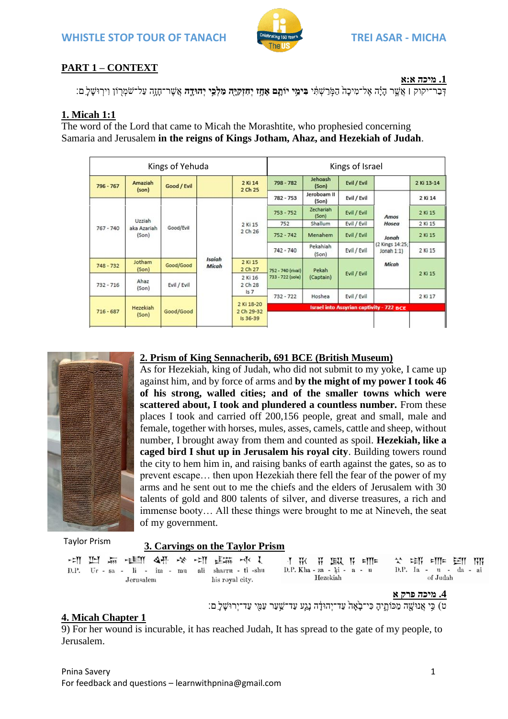**WHISTLE STOP TOUR OF TANACH TREI ASAR - MICHA**



# **PART 1 – CONTEXT**

**.1 מיכה א:א**

יִקוּק **| אֵ**שֶׁר הִיֹּה אֲל־מִיכה הַמְּרַשְׁתֵּי **בִּימֵי יוֹתֵם אִחָז יְחִזְקִיּהָ מֵלְכֵי יְהוּדָה אֲ**שֶׁר־חזָה עַל־שֹמְרוֹן וִירְוּשַׁל ָם:

# **1. Micah 1:1**

The word of the Lord that came to Micah the Morashtite, who prophesied concerning Samaria and Jerusalem **in the reigns of Kings Jotham, Ahaz, and Hezekiah of Judah**.

| Kings of Yehuda |                                |             |                                      | Kings of Israel           |                   |                      |             |                                                                   |         |
|-----------------|--------------------------------|-------------|--------------------------------------|---------------------------|-------------------|----------------------|-------------|-------------------------------------------------------------------|---------|
| 796 - 767       | Amaziah<br>(son)               | Good / Evil | 2 Ki 14<br>2 Ch 25                   | 798 - 782                 | Jehoash<br>(Son)  | Evil / Evil          |             | 2 Ki 13-14                                                        |         |
|                 | Uzziah<br>aka Azariah<br>(Son) | Good/Evil   | <b>Isaiah</b><br><b>Micah</b>        | 2 Ki 15<br>2 Ch 26        | $782 - 753$       | Jeroboam II<br>(Son) | Evil / Evil | Amos<br>Hosea<br>Jonah<br>(2 Kings 14:25;)<br>Jonah 1:1)<br>Micah | 2 Ki 14 |
|                 |                                |             |                                      |                           | $753 - 752$       | Zechariah<br>(Son)   | Evil / Evil |                                                                   | 2 Ki 15 |
|                 |                                |             |                                      |                           | 752               | Shallum              | Evil / Evil |                                                                   | 2 Ki 15 |
| $767 - 740$     |                                |             |                                      |                           | $752 - 742$       | Menahem              | Evil / Evil |                                                                   | 2 Ki 15 |
|                 |                                |             |                                      |                           | $742 - 740$       | Pekahiah<br>(Son)    | Evil / Evil |                                                                   | 2 Ki 15 |
| $748 - 732$     | Jotham<br>(Son)                | Good/Good   |                                      | 2 Ki 15<br>2 Ch 27        | 752 - 740 (rival) | Pekah                |             |                                                                   | 2 Ki 15 |
| $732 - 716$     | Ahaz<br>(Son)                  | Evil / Evil |                                      | 2 Ki 16<br>2 Ch 28<br>157 | 733 - 722 (sole)  | (Captain)            | Evil / Evil |                                                                   |         |
|                 |                                |             |                                      |                           | $732 - 722$       | Hoshea               | Evil / Evil |                                                                   | 2 Ki 17 |
| $716 - 687$     | Hezekiah<br>(Son)              | Good/Good   | 2 Ki 18-20<br>2 Ch 29-32<br>Is 36-39 |                           |                   |                      |             |                                                                   |         |
|                 |                                |             |                                      |                           |                   |                      |             | <b>Israel into Assyrian captivity - 722 BCE</b>                   |         |
|                 |                                |             |                                      |                           |                   |                      |             |                                                                   |         |



# **2. Prism of King Sennacherib, 691 BCE (British Museum)**

As for Hezekiah, king of Judah, who did not submit to my yoke, I came up against him, and by force of arms and **by the might of my power I took 46 of his strong, walled cities; and of the smaller towns which were scattered about, I took and plundered a countless number.** From these places I took and carried off 200,156 people, great and small, male and female, together with horses, mules, asses, camels, cattle and sheep, without number, I brought away from them and counted as spoil. **Hezekiah, like a caged bird I shut up in Jerusalem his royal city**. Building towers round the city to hem him in, and raising banks of earth against the gates, so as to prevent escape… then upon Hezekiah there fell the fear of the power of my arms and he sent out to me the chiefs and the elders of Jerusalem with 30 talents of gold and 800 talents of silver, and diverse treasures, a rich and immense booty… All these things were brought to me at Nineveh, the seat of my government.

Taylor Prism

# **3. Carvings on the Taylor Prism**

| Jerusalem | 大学 耕地 『文 李 文 『聞 ま 正 三<br>D.P. Ur - sa - li - im - mu ali sharru - ti -shu<br>his royal city. | I WK W LELL IN ETTE X CEIN ETTE EZIT NIN<br>D.P. Kha - za - ki - $a - u$<br>Hezekiah | D.P. Ia - u - da - ai<br>of Judah |
|-----------|----------------------------------------------------------------------------------------------|--------------------------------------------------------------------------------------|-----------------------------------|
|           |                                                                                              |                                                                                      | 4. מיכה פרק א                     |

ט) כִּי אֲנוּשֶׁה מַכּוֹתֱיִהָ כִּי־בָאָה עַד־יְהוּדָָה נָגֶע עַד־שַׁעַר עַמֻי עַד־יְרוּשָׁלָ ִם:

#### **4. Micah Chapter 1**

9) For her wound is incurable, it has reached Judah, It has spread to the gate of my people, to Jerusalem.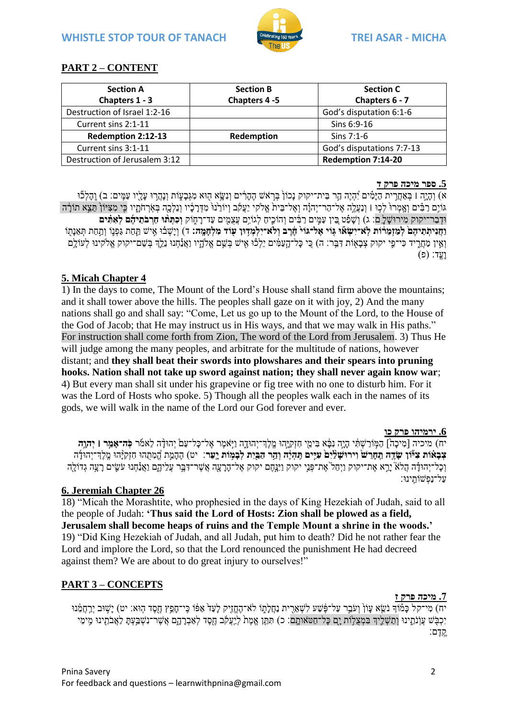

# **PART 2 – CONTENT**

| <b>Section A</b>              | <b>Section B</b> | <b>Section C</b>          |
|-------------------------------|------------------|---------------------------|
| Chapters 1 - 3                | Chapters 4-5     | Chapters 6 - 7            |
| Destruction of Israel 1:2-16  |                  | God's disputation 6:1-6   |
| Current sins 2:1-11           |                  | Sins 6:9-16               |
| Redemption 2:12-13            | Redemption       | Sins $7:1-6$              |
| Current sins 3:1-11           |                  | God's disputations 7:7-13 |
| Destruction of Jerusalem 3:12 |                  | Redemption 7:14-20        |

#### **.5 ספר מיכה פרק ד**

א) וְהָיֶה l בְּאַחֲרִית הַיַּמְים יָٓהָיֶה הַר בֵּית־יקוק נַכוֹן בִּרְאֹשׁ הֶהַרִ֫ים וְנָשֵׂא הִוּא מְגִּבַעָּוֹת וְנַהֲרוּ עַלְיו עַמֵּים: ב) וֵהַלְכוֹ ּו גּוֹיֵם רַבִּ֫ים וַאֲמְרוּ לְכוּ । וְנַעֲלֵה אֱל־הַר־יִהְוָה וְאֶל־בֵּית אֱלֹקי יַעֲקֹב וְיוֹרֵנוּ מִדְרַכָּ֫יו וְנֵלְכֵה בְּאֶרְחֹתַיו כֵּי מְצִיּוֹן הָצֵא תוֹרָה וּדָּבַר־יקוק מִירוּשָׁלֵ֑ ם: ג) וְשָׁפָֿט בֵּין עַמֵּים רַבִּים וְהוֹכֵיחַ לְגוֹיֵם עַצָמִים עַד־רַחָוֹק **וִכְתִּתוּ חַרְבֹתֻיהָם לְאִתִּים** וַחַנִּיתְתֵיהֶם לְמַזְמֶרֹוֹת לְאֹ־יִשָׂאוּ גִּוֹי אֱל־גּוֹי חֶרֶב וְלֹא־יִלְמְדָוּן עוֹד מְלִחָמֵה: ד) וְיַשְׁבוּ אֵישׁ תַּחַת גַּכְּנֵוֹ וְתַחַת תְּאֵנְתוֹ וְאֵין מַחֲרֶיד כִּי־פֵי יקוק צְבָאָוֹת דִּבֵּר: ה) כֵי כָּל־הָעַמִּ֫ים יֵלְכוֹ אִישׁ בְּשֵׁם אֱלֹהָיו וַאֲנַחְנוּ נֵלֵ֣ךְ בְּשֵׁם־יקוק אֱלֹקינוּ לְעוֹלֵם  $($ פּ) וַעֱד:

## **5. Micah Chapter 4**

1) In the days to come, The Mount of the Lord's House shall stand firm above the mountains; and it shall tower above the hills. The peoples shall gaze on it with joy, 2) And the many nations shall go and shall say: "Come, Let us go up to the Mount of the Lord, to the House of the God of Jacob; that He may instruct us in His ways, and that we may walk in His paths." For instruction shall come forth from Zion, The word of the Lord from Jerusalem. 3) Thus He will judge among the many peoples, and arbitrate for the multitude of nations, however distant; and **they shall beat their swords into plowshares and their spears into pruning hooks. Nation shall not take up sword against nation; they shall never again know war**; 4) But every man shall sit under his grapevine or fig tree with no one to disturb him. For it was the Lord of Hosts who spoke. 5) Though all the peoples walk each in the names of its gods, we will walk in the name of the Lord our God forever and ever.

#### **.6 ירמיהו פרק כו**

יח) מיכיה [מִיכָה] הַמְּוֹרַשְׁתִּ֫י הָיָה נִבָּ֫א בִּימֵי חִזְקַיָּהוּ מֱלֶךְ־יְהוּוָדֶה וַיְּאמֶר אֱל־כָּל־עַם יְהוּדָָ֫ה לֵאמ<mark>ֿר כְּה־אָמֵר ו יְהוֶה</mark> **צְבָאוֹת צִיּّוֹן שָׂדֶה תֵחָרֵשׁ וִירוּשָׁלֵיִם עִייִם תִּהְיֶה וְהַר הַבֵּיִת לְבָמְוֹת יָעַר**: יט) הֶהָמֶת הֱמְהוּ חִזְקִיָּהוּ מֶלֶדִ־יְהוּדָה וְכָל־יְהוּדָ֫ה הֲלֹאֹ יָרֵא אֶת־יקוק וַיִּחַל ´אֶת־פְּנֵי יקוק וַיִּנָּחֶם יקוק אֶל־הָרָעָה אֲשֶׁר־דִּבֶּר עֲלֵיהֱם וַאֲנַחָנוּ עֹשֵׂים רָעָה גְדוֹלָה עַל־נַפְּ שֹותֵּֽ ינּו׃

## **6. Jeremiah Chapter 26**

18) "Micah the Morashtite, who prophesied in the days of King Hezekiah of Judah, said to all the people of Judah: **'Thus said the Lord of Hosts: Zion shall be plowed as a field, Jerusalem shall become heaps of ruins and the Temple Mount a shrine in the woods.'** 19) "Did King Hezekiah of Judah, and all Judah, put him to death? Did he not rather fear the Lord and implore the Lord, so that the Lord renounced the punishment He had decreed against them? We are about to do great injury to ourselves!"

## **PART 3 – CONCEPTS**

**.7 מיכה פרק ז**

יח) מִי־קל כַּמֹוֹדְ נֹשֵׂא עַוֹן וְעֹבֵר עַל־פֶּ֫שֶׁע לְשָׁאֲרִית נַחֲלַתְוֹ לֹא־הֶחֱזֶיק לַעַּדֹ אֲפֹוֹ כֵּי־חַפֵּץ חֵסֶד הִוּא: יט) יַשְׁוּב יִרַחֲמֵנוּ ִיכְבְּשׁ עֲוֹנֵתֵינוּ וְתַשְׁלֵיךְ בִּמְצֵלְוֹת יָם כָּל־חַטּאוֹתֵם: כ) תִּתֵּן אֱמֶת לִיַעֲקֹב חֶסֶד לְאַבְדָהָם אֲשֶׁר־נִשְׁבַּעְתָּ לִאֲבֹהֵינוּ מִימֵי קֶֽ דֶ ם׃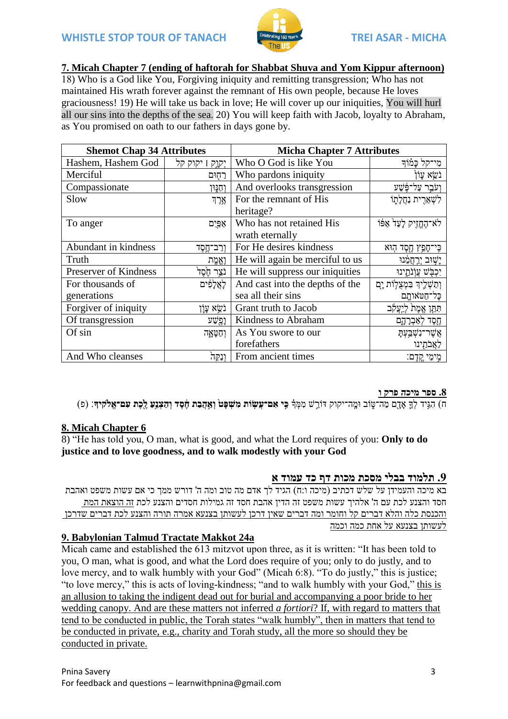

## 7. Micah Chapter 7 (ending of haftorah for Shabbat Shuva and Yom Kippur afternoon)

18) Who is a God like You, Forgiving iniquity and remitting transgression: Who has not maintained His wrath forever against the remnant of His own people, because He loves graciousness! 19) He will take us back in love; He will cover up our iniquities. You will hurl all our sins into the depths of the sea. 20) You will keep faith with Jacob, loyalty to Abraham, as You promised on oath to our fathers in days gone by.

| <b>Shemot Chap 34 Attributes</b> |                   | <b>Micha Chapter 7 Attributes</b> |                               |  |
|----------------------------------|-------------------|-----------------------------------|-------------------------------|--|
| Hashem, Hashem God               | יְקְוָק   יקוק קל | Who O God is like You             | מִי־קל כַּמֹוֹדִ              |  |
| Merciful                         | רחִוּם            | Who pardons iniquity              | נֹשֵׂא עַוֹן                  |  |
| Compassionate                    | וחנוו             | And overlooks transgression       | וִעֹּבֵר עַל־פָּּשַׁע         |  |
| Slow                             | אָרֶד             | For the remnant of His            | לשארית נחלתו                  |  |
|                                  |                   | heritage?                         |                               |  |
| To anger                         | אַפּיִם           | Who has not retained His          | לא־הֶחֱזִיק לָעַד אַפּוֹ      |  |
|                                  |                   | wrath eternally                   |                               |  |
| Abundant in kindness             | וְרַב־חֱסֶד       | For He desires kindness           | כִּי־חָפֵץ חֶסֶד הְוּא        |  |
| Truth                            | וְאֱמֻת           | He will again be merciful to us   | יַשִׁוּב יִרְחֲמֵנוּ          |  |
| Preserver of Kindness            | נֹצֵר חָׂסֶד      | He will suppress our iniquities   | יִכְבָּשׁ עֲוָׂנֹתֱינוּ       |  |
| For thousands of                 | לְאֲלָפִים        | And cast into the depths of the   | וְתַשְׁלֵיךְ בִּמְצֻלְוֹת יָם |  |
| generations                      |                   | sea all their sins                | כָּל־חַטֹּאוחָם               |  |
| Forgiver of iniquity             | נֹשֵׂא עָוָן      | Grant truth to Jacob              | תִּתֵּן אֱמֶת לִיַעֲקֹב       |  |
| Of transgression                 | וֶפֶּשׁע          | Kindness to Abraham               | הֶסֶד לְאַבְרָהָם             |  |
| Of sin                           | וְחַטָּאֶה        | As You swore to our               | אַשר־נִשְׁבַעִתַּ             |  |
|                                  |                   | forefathers                       | לאַבֹתִינו                    |  |
| And Who cleanses                 | ונקה              | From ancient times                | מֵימֵי קֳדֶם:                 |  |

ח) הגיד לך אַדָם מַה־טִוֹב וּמֵה־יקוק דּוֹרֵשׁ מִמְּדֹ **כֵּי אִם־עַשְׂוֹת מְשִׁפָּט<sup>ְ</sup> וְאֲהָבָת חֶסֶד וְהַצְּנֵעַ לֵכֶת עִם־אֱלֹקִידְ**: (פ)

## 8. Micah Chapter 6

8) "He has told you, O man, what is good, and what the Lord requires of you: Only to do justice and to love goodness, and to walk modestly with your God

## תלמוד בבלי מסכת מכות דף כד עמוד א  $9\,$

בא מיכה והעמידן על שלש דכתיב (מיכה ו:ח) הגיד לך אדם מה טוב ומה ה' דורש ממך כי אם עשות משפט ואהבת חסד והצנע לכת עם ה' אלהיר עשות משפט זה הדיו אהבת חסד זה גמילות חסדים והצנע לכת זה הוצאת המת והכנסת כלה והלא דברים קל וחומר ומה דברים שאין דרכן לעשותן בצנעא אמרה תורה והצנע לכת דברים שדרכן לעשותו בצנעא על אחת כמה וכמה

## 9. Babylonian Talmud Tractate Makkot 24a

Micah came and established the 613 mitzvot upon three, as it is written: "It has been told to vou. O man, what is good, and what the Lord does require of you; only to do justly, and to love mercy, and to walk humbly with your God" (Micah 6:8). "To do justly," this is justice; "to love mercy," this is acts of loving-kindness; "and to walk humbly with your God," this is an allusion to taking the indigent dead out for burial and accompanying a poor bride to her wedding canopy. And are these matters not inferred *a fortiori*? If, with regard to matters that tend to be conducted in public, the Torah states "walk humbly", then in matters that tend to be conducted in private, e.g., charity and Torah study, all the more so should they be conducted in private.